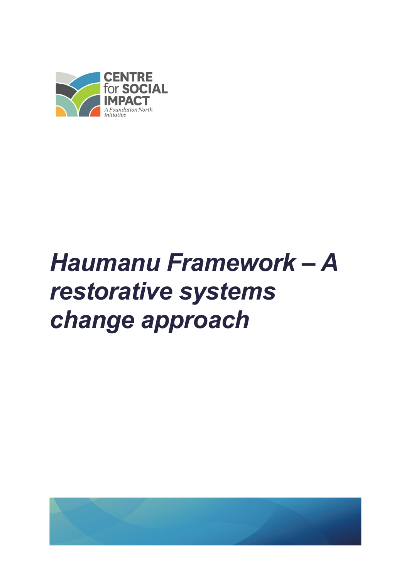

# *Haumanu Framework – A restorative systems change approach*

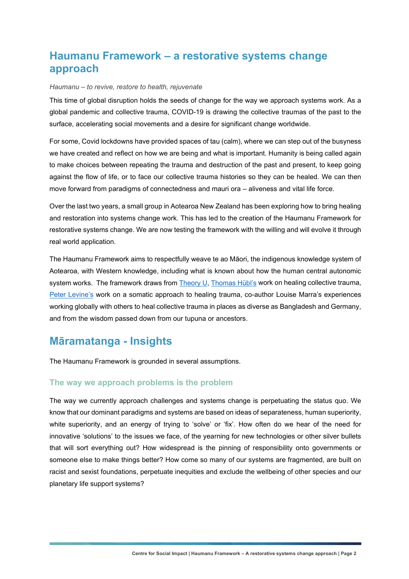# **Haumanu Framework – a restorative systems change approach**

#### *Haumanu – to revive, restore to health, rejuvenate*

This time of global disruption holds the seeds of change for the way we approach systems work. As a global pandemic and collective trauma, COVID-19 is drawing the collective traumas of the past to the surface, accelerating social movements and a desire for significant change worldwide.

For some, Covid lockdowns have provided spaces of tau (calm), where we can step out of the busyness we have created and reflect on how we are being and what is important. Humanity is being called again to make choices between repeating the trauma and destruction of the past and present, to keep going against the flow of life, or to face our collective trauma histories so they can be healed. We can then move forward from paradigms of connectedness and mauri ora – aliveness and vital life force.

Over the last two years, a small group in Aotearoa New Zealand has been exploring how to bring healing and restoration into systems change work. This has led to the creation of the Haumanu Framework for restorative systems change. We are now testing the framework with the willing and will evolve it through real world application.

The Haumanu Framework aims to respectfully weave te ao Māori, the indigenous knowledge system of Aotearoa, with Western knowledge, including what is known about how the human central autonomic system works. The framework draws from [Theory U,](https://www.presencing.org/assets/images/theory-u/Theory_U_2pageOverview.pdf) [Thomas Hübl's](https://thomashuebl.com/) work on healing collective trauma, [Peter Levine's](https://www.psychotherapy.net/interview/interview-peter-levine) work on a somatic approach to healing trauma, co-author Louise Marra's experiences working globally with others to heal collective trauma in places as diverse as Bangladesh and Germany, and from the wisdom passed down from our tupuna or ancestors.

## **Māramatanga - Insights**

The Haumanu Framework is grounded in several assumptions.

#### **The way we approach problems is the problem**

The way we currently approach challenges and systems change is perpetuating the status quo. We know that our dominant paradigms and systems are based on ideas of separateness, human superiority, white superiority, and an energy of trying to 'solve' or 'fix'. How often do we hear of the need for innovative 'solutions' to the issues we face, of the yearning for new technologies or other silver bullets that will sort everything out? How widespread is the pinning of responsibility onto governments or someone else to make things better? How come so many of our systems are fragmented, are built on racist and sexist foundations, perpetuate inequities and exclude the wellbeing of other species and our planetary life support systems?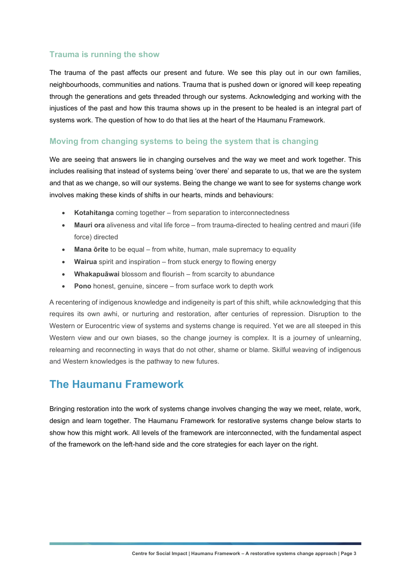#### **Trauma is running the show**

The trauma of the past affects our present and future. We see this play out in our own families, neighbourhoods, communities and nations. Trauma that is pushed down or ignored will keep repeating through the generations and gets threaded through our systems. Acknowledging and working with the injustices of the past and how this trauma shows up in the present to be healed is an integral part of systems work. The question of how to do that lies at the heart of the Haumanu Framework.

#### **Moving from changing systems to being the system that is changing**

We are seeing that answers lie in changing ourselves and the way we meet and work together. This includes realising that instead of systems being 'over there' and separate to us, that we are the system and that as we change, so will our systems. Being the change we want to see for systems change work involves making these kinds of shifts in our hearts, minds and behaviours:

- **Kotahitanga** coming together from separation to interconnectedness
- **Mauri ora** aliveness and vital life force from trauma-directed to healing centred and mauri (life force) directed
- **Mana ōrite** to be equal from white, human, male supremacy to equality
- **Wairua** spirit and inspiration from stuck energy to flowing energy
- **Whakapuāwai** blossom and flourish from scarcity to abundance
- **Pono** honest, genuine, sincere from surface work to depth work

A recentering of indigenous knowledge and indigeneity is part of this shift, while acknowledging that this requires its own awhi, or nurturing and restoration, after centuries of repression. Disruption to the Western or Eurocentric view of systems and systems change is required. Yet we are all steeped in this Western view and our own biases, so the change journey is complex. It is a journey of unlearning, relearning and reconnecting in ways that do not other, shame or blame. Skilful weaving of indigenous and Western knowledges is the pathway to new futures.

### **The Haumanu Framework**

Bringing restoration into the work of systems change involves changing the way we meet, relate, work, design and learn together. The Haumanu Framework for restorative systems change below starts to show how this might work. All levels of the framework are interconnected, with the fundamental aspect of the framework on the left-hand side and the core strategies for each layer on the right.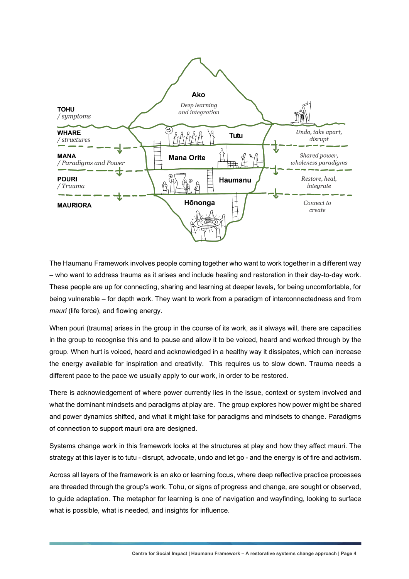

The Haumanu Framework involves people coming together who want to work together in a different way – who want to address trauma as it arises and include healing and restoration in their day-to-day work. These people are up for connecting, sharing and learning at deeper levels, for being uncomfortable, for being vulnerable – for depth work. They want to work from a paradigm of interconnectedness and from *mauri* (life force), and flowing energy.

When pouri (trauma) arises in the group in the course of its work, as it always will, there are capacities in the group to recognise this and to pause and allow it to be voiced, heard and worked through by the group. When hurt is voiced, heard and acknowledged in a healthy way it dissipates, which can increase the energy available for inspiration and creativity. This requires us to slow down. Trauma needs a different pace to the pace we usually apply to our work, in order to be restored.

There is acknowledgement of where power currently lies in the issue, context or system involved and what the dominant mindsets and paradigms at play are. The group explores how power might be shared and power dynamics shifted, and what it might take for paradigms and mindsets to change. Paradigms of connection to support mauri ora are designed.

Systems change work in this framework looks at the structures at play and how they affect mauri. The strategy at this layer is to tutu - disrupt, advocate, undo and let go - and the energy is of fire and activism.

Across all layers of the framework is an ako or learning focus, where deep reflective practice processes are threaded through the group's work. Tohu, or signs of progress and change, are sought or observed, to guide adaptation. The metaphor for learning is one of navigation and wayfinding, looking to surface what is possible, what is needed, and insights for influence.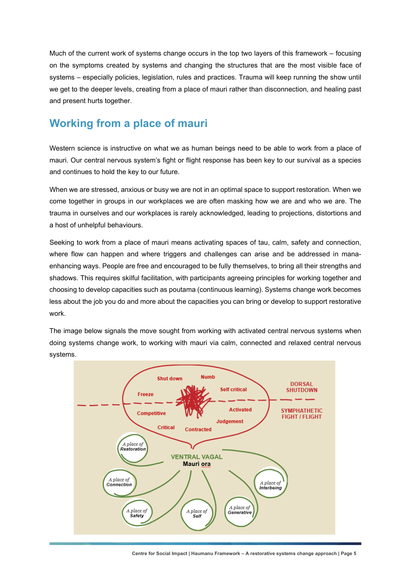Much of the current work of systems change occurs in the top two layers of this framework – focusing on the symptoms created by systems and changing the structures that are the most visible face of systems – especially policies, legislation, rules and practices. Trauma will keep running the show until we get to the deeper levels, creating from a place of mauri rather than disconnection, and healing past and present hurts together.

## **Working from a place of mauri**

Western science is instructive on what we as human beings need to be able to work from a place of mauri. Our central nervous system's fight or flight response has been key to our survival as a species and continues to hold the key to our future.

When we are stressed, anxious or busy we are not in an optimal space to support restoration. When we come together in groups in our workplaces we are often masking how we are and who we are. The trauma in ourselves and our workplaces is rarely acknowledged, leading to projections, distortions and a host of unhelpful behaviours.

Seeking to work from a place of mauri means activating spaces of tau, calm, safety and connection, where flow can happen and where triggers and challenges can arise and be addressed in manaenhancing ways. People are free and encouraged to be fully themselves, to bring all their strengths and shadows. This requires skilful facilitation, with participants agreeing principles for working together and choosing to develop capacities such as poutama (continuous learning). Systems change work becomes less about the job you do and more about the capacities you can bring or develop to support restorative work.

The image below signals the move sought from working with activated central nervous systems when doing systems change work, to working with mauri via calm, connected and relaxed central nervous systems.



**Centre for Social Impact | Haumanu Framework – A restorative systems change approach | Page 5**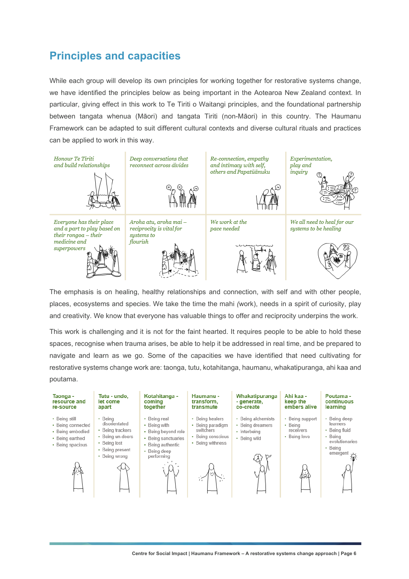# **Principles and capacities**

While each group will develop its own principles for working together for restorative systems change, we have identified the principles below as being important in the Aotearoa New Zealand context. In particular, giving effect in this work to Te Tiriti o Waitangi principles, and the foundational partnership between tangata whenua (Māori) and tangata Tiriti (non-Māori) in this country. The Haumanu Framework can be adapted to suit different cultural contexts and diverse cultural rituals and practices can be applied to work in this way.



The emphasis is on healing, healthy relationships and connection, with self and with other people, places, ecosystems and species. We take the time the mahi *(*work), needs in a spirit of curiosity, play and creativity. We know that everyone has valuable things to offer and reciprocity underpins the work.

This work is challenging and it is not for the faint hearted. It requires people to be able to hold these spaces, recognise when trauma arises, be able to help it be addressed in real time, and be prepared to navigate and learn as we go. Some of the capacities we have identified that need cultivating for restorative systems change work are: taonga, tutu, kotahitanga, haumanu, whakatipuranga, ahi kaa and poutama.